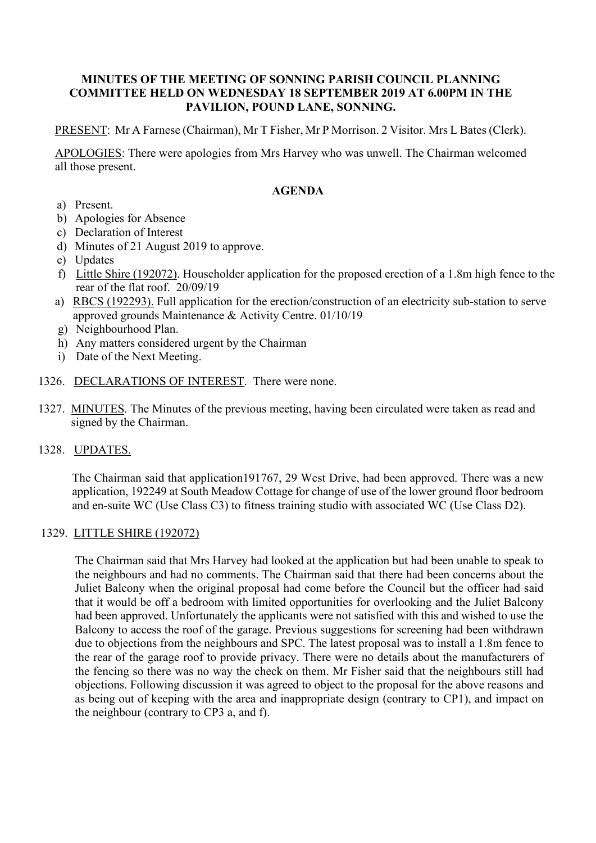## **MINUTES OF THE MEETING OF SONNING PARISH COUNCIL PLANNING COMMITTEE HELD ON WEDNESDAY 18 SEPTEMBER 2019 AT 6.00PM IN THE PAVILION, POUND LANE, SONNING.**

PRESENT: Mr A Farnese (Chairman), Mr T Fisher, Mr P Morrison. 2 Visitor. Mrs L Bates (Clerk).

APOLOGIES: There were apologies from Mrs Harvey who was unwell. The Chairman welcomed all those present.

# **AGENDA**

- a) Present.
- b) Apologies for Absence
- c) Declaration of Interest
- d) Minutes of 21 August 2019 to approve.
- e) Updates
- f) Little Shire (192072). Householder application for the proposed erection of a 1.8m high fence to the rear of the flat roof. 20/09/19
- a) RBCS (192293). Full application for the erection/construction of an electricity sub-station to serve approved grounds Maintenance & Activity Centre. 01/10/19
- g) Neighbourhood Plan.
- h) Any matters considered urgent by the Chairman
- i) Date of the Next Meeting.
- 1326. DECLARATIONS OF INTEREST. There were none.
- 1327. MINUTES. The Minutes of the previous meeting, having been circulated were taken as read and signed by the Chairman.
- 1328. UPDATES.

The Chairman said that application191767, 29 West Drive, had been approved. There was a new application, 192249 at South Meadow Cottage for change of use of the lower ground floor bedroom and en-suite WC (Use Class C3) to fitness training studio with associated WC (Use Class D2).

## 1329. LITTLE SHIRE (192072)

The Chairman said that Mrs Harvey had looked at the application but had been unable to speak to the neighbours and had no comments. The Chairman said that there had been concerns about the Juliet Balcony when the original proposal had come before the Council but the officer had said that it would be off a bedroom with limited opportunities for overlooking and the Juliet Balcony had been approved. Unfortunately the applicants were not satisfied with this and wished to use the Balcony to access the roof of the garage. Previous suggestions for screening had been withdrawn due to objections from the neighbours and SPC. The latest proposal was to install a 1.8m fence to the rear of the garage roof to provide privacy. There were no details about the manufacturers of the fencing so there was no way the check on them. Mr Fisher said that the neighbours still had objections. Following discussion it was agreed to object to the proposal for the above reasons and as being out of keeping with the area and inappropriate design (contrary to CP1), and impact on the neighbour (contrary to CP3 a, and f).